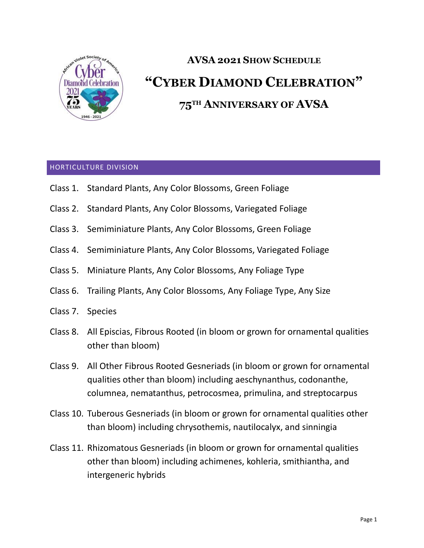

# **AVSA 2021 SHOW SCHEDULE "CYBER DIAMOND CELEBRATION" 75TH ANNIVERSARY OF AVSA**

#### HORTICULTURE DIVISION

- Class 1. Standard Plants, Any Color Blossoms, Green Foliage
- Class 2. Standard Plants, Any Color Blossoms, Variegated Foliage
- Class 3. Semiminiature Plants, Any Color Blossoms, Green Foliage
- Class 4. Semiminiature Plants, Any Color Blossoms, Variegated Foliage
- Class 5. Miniature Plants, Any Color Blossoms, Any Foliage Type
- Class 6. Trailing Plants, Any Color Blossoms, Any Foliage Type, Any Size
- Class 7. Species
- Class 8. All Episcias, Fibrous Rooted (in bloom or grown for ornamental qualities other than bloom)
- Class 9. All Other Fibrous Rooted Gesneriads (in bloom or grown for ornamental qualities other than bloom) including aeschynanthus, codonanthe, columnea, nematanthus, petrocosmea, primulina, and streptocarpus
- Class 10. Tuberous Gesneriads (in bloom or grown for ornamental qualities other than bloom) including chrysothemis, nautilocalyx, and sinningia
- Class 11. Rhizomatous Gesneriads (in bloom or grown for ornamental qualities other than bloom) including achimenes, kohleria, smithiantha, and intergeneric hybrids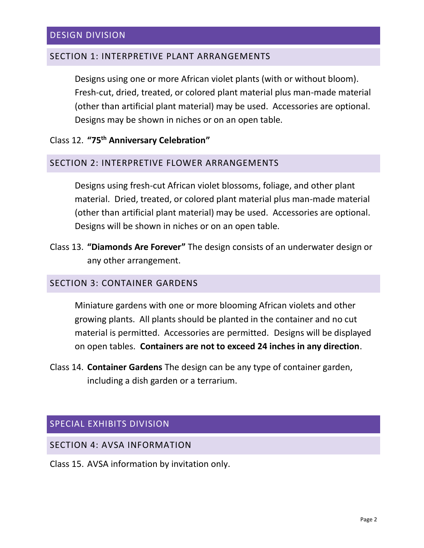#### SECTION 1: INTERPRETIVE PLANT ARRANGEMENTS

Designs using one or more African violet plants (with or without bloom). Fresh-cut, dried, treated, or colored plant material plus man-made material (other than artificial plant material) may be used. Accessories are optional. Designs may be shown in niches or on an open table.

## Class 12. **"75th Anniversary Celebration"**

#### SECTION 2: INTERPRETIVE FLOWER ARRANGEMENTS

Designs using fresh-cut African violet blossoms, foliage, and other plant material. Dried, treated, or colored plant material plus man-made material (other than artificial plant material) may be used. Accessories are optional. Designs will be shown in niches or on an open table.

Class 13. **"Diamonds Are Forever"** The design consists of an underwater design or any other arrangement.

#### SECTION 3: CONTAINER GARDENS

Miniature gardens with one or more blooming African violets and other growing plants. All plants should be planted in the container and no cut material is permitted. Accessories are permitted. Designs will be displayed on open tables. **Containers are not to exceed 24 inches in any direction**.

Class 14. **Container Gardens** The design can be any type of container garden, including a dish garden or a terrarium.

## SPECIAL EXHIBITS DIVISION

SECTION 4: AVSA INFORMATION

Class 15. AVSA information by invitation only.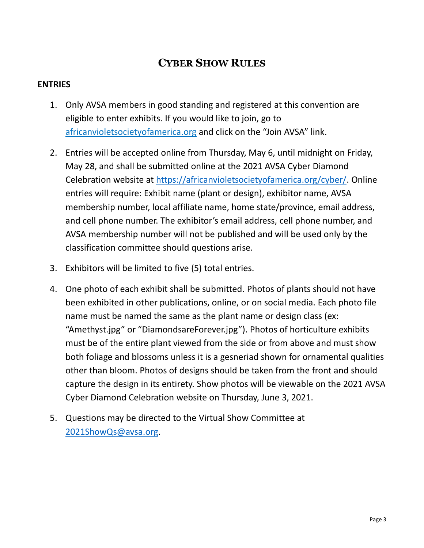## **CYBER SHOW RULES**

## **ENTRIES**

- 1. Only AVSA members in good standing and registered at this convention are eligible to enter exhibits. If you would like to join, go to [africanvioletsocietyo](http://www.avsa.org/)famerica.org and click on the "Join AVSA" link.
- 2. Entries will be accepted online from Thursday, May 6, until midnight on Friday, May 28, and shall be submitted online at the 2021 AVSA Cyber Diamond Celebration website at [https://africanvioletsocietyofamerica.org/cyber/.](https://africanvioletsocietyofamerica.org/cyber/) Online entries will require: Exhibit name (plant or design), exhibitor name, AVSA membership number, local affiliate name, home state/province, email address, and cell phone number. The exhibitor's email address, cell phone number, and AVSA membership number will not be published and will be used only by the classification committee should questions arise.
- 3. Exhibitors will be limited to five (5) total entries.
- 4. One photo of each exhibit shall be submitted. Photos of plants should not have been exhibited in other publications, online, or on social media. Each photo file name must be named the same as the plant name or design class (ex: "Amethyst.jpg" or "DiamondsareForever.jpg"). Photos of horticulture exhibits must be of the entire plant viewed from the side or from above and must show both foliage and blossoms unless it is a gesneriad shown for ornamental qualities other than bloom. Photos of designs should be taken from the front and should capture the design in its entirety. Show photos will be viewable on the 2021 AVSA Cyber Diamond Celebration website on Thursday, June 3, 2021.
- 5. Questions may be directed to the Virtual Show Committee at [2021ShowQs@avsa.org.](mailto:2021ShowQs@avsa.org)